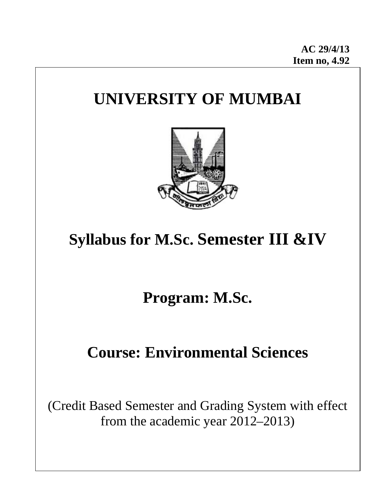# **UNIVERSITY OF MUMBAI**



# **Syllabus for M.Sc. Semester III &IV**

# **Program: M.Sc.**  $\blacksquare$

# **Course: Environmental Sciences**

(Credit Based Semester and Grading System with effect from the academic year 2012–2013)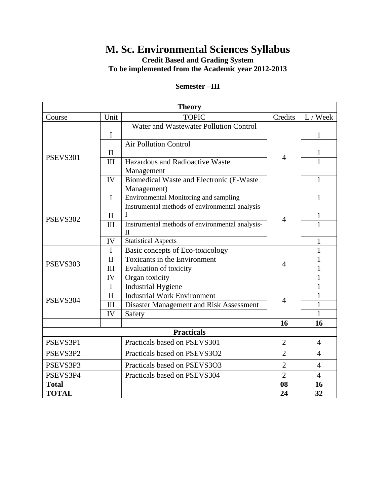# **M. Sc. Environmental Sciences Syllabus**

**Credit Based and Grading System** 

**To be implemented from the Academic year 2012-2013** 

#### **Semester –III**

| <b>Theory</b>     |              |                                                                 |                |                |  |  |
|-------------------|--------------|-----------------------------------------------------------------|----------------|----------------|--|--|
| Course            | Unit         | <b>TOPIC</b>                                                    | Credits        | L / Week       |  |  |
| PSEVS301          | $\mathbf I$  | Water and Wastewater Pollution Control                          | $\overline{4}$ | $\mathbf{1}$   |  |  |
|                   | $\mathbf{I}$ | <b>Air Pollution Control</b>                                    |                | $\mathbf{1}$   |  |  |
|                   | III          | Hazardous and Radioactive Waste<br>Management                   |                | $\mathbf{1}$   |  |  |
|                   | IV           | Biomedical Waste and Electronic (E-Waste<br>Management)         |                | 1              |  |  |
| PSEVS302          | $\mathbf I$  | Environmental Monitoring and sampling                           | $\overline{4}$ | $\mathbf{1}$   |  |  |
|                   | $\mathbf{I}$ | Instrumental methods of environmental analysis-<br>I            |                | 1              |  |  |
|                   | III          | Instrumental methods of environmental analysis-<br>$\mathbf{I}$ |                | $\mathbf{1}$   |  |  |
|                   | IV           | <b>Statistical Aspects</b>                                      |                | 1              |  |  |
| PSEVS303          | I            | Basic concepts of Eco-toxicology                                | $\overline{4}$ | $\mathbf{1}$   |  |  |
|                   | $\mathbf{I}$ | Toxicants in the Environment                                    |                | 1              |  |  |
|                   | III          | Evaluation of toxicity                                          |                | 1              |  |  |
|                   | IV           | Organ toxicity                                                  |                | 1              |  |  |
| PSEVS304          | $\mathbf I$  | <b>Industrial Hygiene</b>                                       | $\overline{4}$ | 1              |  |  |
|                   | $\mathbf{I}$ | <b>Industrial Work Environment</b>                              |                | 1              |  |  |
|                   | III          | Disaster Management and Risk Assessment                         |                | $\mathbf{1}$   |  |  |
|                   | IV           | Safety                                                          |                | $\mathbf{1}$   |  |  |
|                   |              |                                                                 | 16             | 16             |  |  |
| <b>Practicals</b> |              |                                                                 |                |                |  |  |
| PSEVS3P1          |              | Practicals based on PSEVS301                                    | $\overline{2}$ | $\overline{4}$ |  |  |
| PSEVS3P2          |              | Practicals based on PSEVS3O2                                    | $\overline{2}$ | $\overline{4}$ |  |  |
| PSEVS3P3          |              | Practicals based on PSEVS3O3                                    | $\overline{2}$ | $\overline{4}$ |  |  |
| PSEVS3P4          |              | Practicals based on PSEVS304                                    | $\overline{2}$ | $\overline{4}$ |  |  |
| <b>Total</b>      |              |                                                                 | 08             | 16             |  |  |
| <b>TOTAL</b>      |              |                                                                 | 24             | 32             |  |  |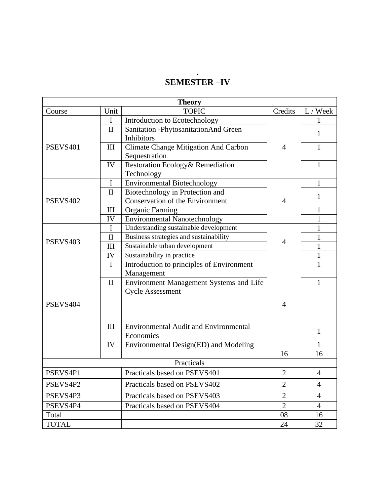#### **. SEMESTER –IV**

| <b>Theory</b>   |              |                                              |                |                |  |  |
|-----------------|--------------|----------------------------------------------|----------------|----------------|--|--|
| Course          | Unit         | <b>TOPIC</b>                                 | Credits        | L / Week       |  |  |
| PSEVS401        | $\mathbf{I}$ | Introduction to Ecotechnology                |                |                |  |  |
|                 | $\mathbf{I}$ | Sanitation - Phytosanitation And Green       |                | $\mathbf{1}$   |  |  |
|                 |              | Inhibitors                                   |                |                |  |  |
|                 | III          | <b>Climate Change Mitigation And Carbon</b>  | $\overline{4}$ | 1              |  |  |
|                 |              | Sequestration                                |                |                |  |  |
|                 | IV           | Restoration Ecology& Remediation             |                | 1              |  |  |
|                 |              | Technology                                   |                |                |  |  |
| <b>PSEVS402</b> | $\mathbf I$  | <b>Environmental Biotechnology</b>           | $\overline{4}$ | $\mathbf{1}$   |  |  |
|                 | $\mathbf{I}$ | Biotechnology in Protection and              |                | $\mathbf{1}$   |  |  |
|                 |              | Conservation of the Environment              |                |                |  |  |
|                 | III          | <b>Organic Farming</b>                       |                | 1              |  |  |
|                 | IV           | <b>Environmental Nanotechnology</b>          |                | $\mathbf{1}$   |  |  |
|                 | $\mathbf I$  | Understanding sustainable development        | $\overline{4}$ | $\mathbf{1}$   |  |  |
| PSEVS403        | $\mathbf{I}$ | Business strategies and sustainability       |                | 1              |  |  |
|                 | III          | Sustainable urban development                |                | 1              |  |  |
|                 | IV           | Sustainability in practice                   |                | 1              |  |  |
| PSEVS404        | $\mathbf I$  | Introduction to principles of Environment    |                | 1              |  |  |
|                 |              | Management                                   |                |                |  |  |
|                 | $\mathbf{I}$ | Environment Management Systems and Life      |                | 1              |  |  |
|                 |              | <b>Cycle Assessment</b>                      |                |                |  |  |
|                 |              |                                              | 4              |                |  |  |
|                 |              |                                              |                |                |  |  |
|                 |              |                                              |                |                |  |  |
|                 | III          | <b>Environmental Audit and Environmental</b> |                | $\mathbf{1}$   |  |  |
|                 |              | Economics                                    |                |                |  |  |
|                 | IV           | Environmental Design(ED) and Modeling        |                | 1              |  |  |
|                 |              |                                              | 16             | 16             |  |  |
| Practicals      |              |                                              |                |                |  |  |
| PSEVS4P1        |              | Practicals based on PSEVS401                 | $\overline{2}$ | 4              |  |  |
| PSEVS4P2        |              | Practicals based on PSEVS402                 | $\overline{2}$ | 4              |  |  |
| PSEVS4P3        |              | Practicals based on PSEVS403                 | $\overline{2}$ | 4              |  |  |
| PSEVS4P4        |              | Practicals based on PSEVS404                 | $\overline{2}$ | $\overline{4}$ |  |  |
| Total           |              |                                              | 08             | 16             |  |  |
| <b>TOTAL</b>    |              |                                              | 24             | 32             |  |  |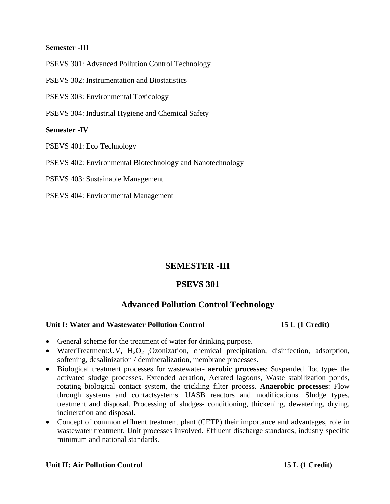#### **Semester -III**

PSEVS 301: Advanced Pollution Control Technology

PSEVS 302: Instrumentation and Biostatistics

PSEVS 303: Environmental Toxicology

PSEVS 304: Industrial Hygiene and Chemical Safety

#### **Semester -IV**

PSEVS 401: Eco Technology

PSEVS 402: Environmental Biotechnology and Nanotechnology

PSEVS 403: Sustainable Management

PSEVS 404: Environmental Management

# **SEMESTER -III**

# **PSEVS 301**

# **Advanced Pollution Control Technology**

#### **Unit I: Water and Wastewater Pollution Control 15 L (1 Credit)**

- General scheme for the treatment of water for drinking purpose.
- WaterTreatment:UV,  $H_2O_2$  Ozonization, chemical precipitation, disinfection, adsorption, softening, desalinization / demineralization, membrane processes.
- Biological treatment processes for wastewater- **aerobic processes**: Suspended floc type- the activated sludge processes. Extended aeration, Aerated lagoons, Waste stabilization ponds, rotating biological contact system, the trickling filter process. **Anaerobic processes**: Flow through systems and contactsystems. UASB reactors and modifications. Sludge types, treatment and disposal. Processing of sludges- conditioning, thickening, dewatering, drying, incineration and disposal.
- Concept of common effluent treatment plant (CETP) their importance and advantages, role in wastewater treatment. Unit processes involved. Effluent discharge standards, industry specific minimum and national standards.

#### Unit II: Air Pollution Control **15 L** (1 Credit)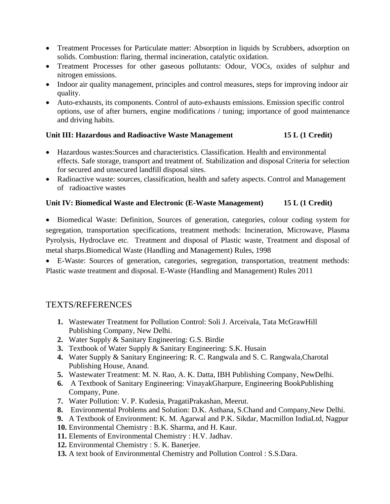- Treatment Processes for Particulate matter: Absorption in liquids by Scrubbers, adsorption on solids. Combustion: flaring, thermal incineration, catalytic oxidation.
- Treatment Processes for other gaseous pollutants: Odour, VOCs, oxides of sulphur and nitrogen emissions.
- Indoor air quality management, principles and control measures, steps for improving indoor air quality.
- Auto-exhausts, its components. Control of auto-exhausts emissions. Emission specific control options, use of after burners, engine modifications / tuning; importance of good maintenance and driving habits.

### **Unit III: Hazardous and Radioactive Waste Management 15 L (1 Credit)**

- Hazardous wastes:Sources and characteristics. Classification. Health and environmental effects. Safe storage, transport and treatment of. Stabilization and disposal Criteria for selection for secured and unsecured landfill disposal sites.
- Radioactive waste: sources, classification, health and safety aspects. Control and Management of radioactive wastes

### **Unit IV: Biomedical Waste and Electronic (E-Waste Management) 15 L (1 Credit)**

• Biomedical Waste: Definition, Sources of generation, categories, colour coding system for segregation, transportation specifications, treatment methods: Incineration, Microwave, Plasma Pyrolysis, Hydroclave etc. Treatment and disposal of Plastic waste, Treatment and disposal of metal sharps.Biomedical Waste (Handling and Management) Rules, 1998

• E-Waste: Sources of generation, categories, segregation, transportation, treatment methods: Plastic waste treatment and disposal. E-Waste (Handling and Management) Rules 2011

- **1.** Wastewater Treatment for Pollution Control: Soli J. Arceivala, Tata McGrawHill Publishing Company, New Delhi.
- **2.** Water Supply & Sanitary Engineering: G.S. Birdie
- **3.** Textbook of Water Supply & Sanitary Engineering: S.K. Husain
- **4.** Water Supply & Sanitary Engineering: R. C. Rangwala and S. C. Rangwala,Charotal Publishing House, Anand.
- **5.** Wastewater Treatment: M. N. Rao, A. K. Datta, IBH Publishing Company, NewDelhi.
- **6.** A Textbook of Sanitary Engineering: VinayakGharpure, Engineering BookPublishing Company, Pune.
- **7.** Water Pollution: V. P. Kudesia, PragatiPrakashan, Meerut.
- **8.** Environmental Problems and Solution: D.K. Asthana, S.Chand and Company,New Delhi.
- **9.** A Textbook of Environment: K. M. Agarwal and P.K. Sikdar, Macmillon IndiaLtd, Nagpur
- **10.** Environmental Chemistry : B.K. Sharma, and H. Kaur.
- **11.** Elements of Environmental Chemistry : H.V. Jadhav.
- **12.** Environmental Chemistry : S. K. Banerjee.
- **13.** A text book of Environmental Chemistry and Pollution Control : S.S.Dara.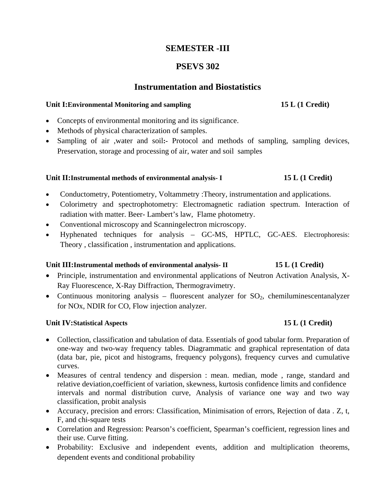# **SEMESTER -III**

# **PSEVS 302**

# **Instrumentation and Biostatistics**

#### Unit I: Environmental Monitoring and sampling 15 L (1 Credit)

- Concepts of environmental monitoring and its significance.
- Methods of physical characterization of samples.
- Sampling of air ,water and soil**:-** Protocol and methods of sampling, sampling devices, Preservation, storage and processing of air, water and soil samples

#### Unit II:Instrumental methods of environmental analysis- I 15 L (1 Credit)

- Conductometry, Potentiometry, Voltammetry :Theory, instrumentation and applications.
- Colorimetry and spectrophotometry: Electromagnetic radiation spectrum. Interaction of radiation with matter. Beer- Lambert's law, Flame photometry.
- Conventional microscopy and Scanning electron microscopy.
- Hyphenated techniques for analysis GC-MS, HPTLC, GC-AES. Electrophoresis: Theory , classification , instrumentation and applications.

#### Unit III:Instrumental methods of environmental analysis- II 15 L (1 Credit)

- Principle, instrumentation and environmental applications of Neutron Activation Analysis, X-Ray Fluorescence, X-Ray Diffraction, Thermogravimetry.
- Continuous monitoring analysis fluorescent analyzer for  $SO_2$ , chemiluminescentanalyzer for NOx, NDIR for CO, Flow injection analyzer.

### **Unit IV:Statistical Aspects** 15 L (1 Credit)

- Collection, classification and tabulation of data. Essentials of good tabular form. Preparation of one-way and two-way frequency tables. Diagrammatic and graphical representation of data (data bar, pie, picot and histograms, frequency polygons), frequency curves and cumulative curves.
- Measures of central tendency and dispersion : mean. median, mode , range, standard and relative deviation,coefficient of variation, skewness, kurtosis confidence limits and confidence intervals and normal distribution curve, Analysis of variance one way and two way classification, probit analysis
- Accuracy, precision and errors: Classification, Minimisation of errors, Rejection of data . Z, t, F, and chi-square tests
- Correlation and Regression: Pearson's coefficient, Spearman's coefficient, regression lines and their use. Curve fitting.
- Probability: Exclusive and independent events, addition and multiplication theorems, dependent events and conditional probability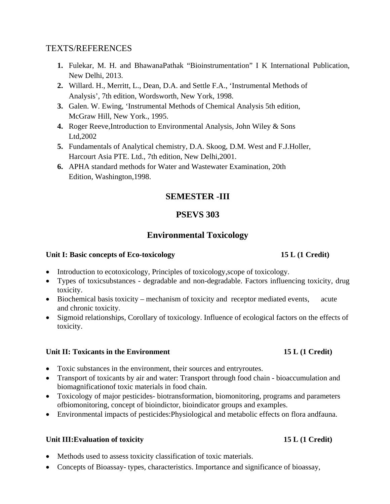# TEXTS/REFERENCES

- **1.** Fulekar, M. H. and BhawanaPathak "Bioinstrumentation" I K International Publication, New Delhi, 2013.
- **2.** Willard. H., Merritt, L., Dean, D.A. and Settle F.A., 'Instrumental Methods of Analysis', 7th edition, Wordsworth, New York, 1998.
- **3.** Galen. W. Ewing, 'Instrumental Methods of Chemical Analysis 5th edition, McGraw Hill, New York., 1995.
- **4.** Roger Reeve,Introduction to Environmental Analysis, John Wiley & Sons Ltd,2002
- **5.** Fundamentals of Analytical chemistry, D.A. Skoog, D.M. West and F.J.Holler, Harcourt Asia PTE. Ltd., 7th edition, New Delhi,2001.
- **6.** APHA standard methods for Water and Wastewater Examination, 20th Edition, Washington,1998.

# **SEMESTER -III**

# **PSEVS 303**

# **Environmental Toxicology**

### Unit I: Basic concepts of Eco-toxicology 15 L (1 Credit)

- Introduction to ecotoxicology, Principles of toxicology, scope of toxicology.
- Types of toxicsubstances degradable and non-degradable. Factors influencing toxicity, drug toxicity.
- Biochemical basis toxicity mechanism of toxicity and receptor mediated events, acute and chronic toxicity.
- Sigmoid relationships, Corollary of toxicology. Influence of ecological factors on the effects of toxicity.

### Unit II: Toxicants in the Environment 15 L (1 Credit)

- Toxic substances in the environment, their sources and entryroutes.
- Transport of toxicants by air and water: Transport through food chain bioaccumulation and biomagnificationof toxic materials in food chain.
- Toxicology of major pesticides- biotransformation, biomonitoring, programs and parameters ofbiomonitoring, concept of bioindictor, bioindicator groups and examples.
- Environmental impacts of pesticides:Physiological and metabolic effects on flora andfauna.

#### Unit III: Evaluation of toxicity 15 L (1 Credit)

- Methods used to assess toxicity classification of toxic materials.
- Concepts of Bioassay- types, characteristics. Importance and significance of bioassay,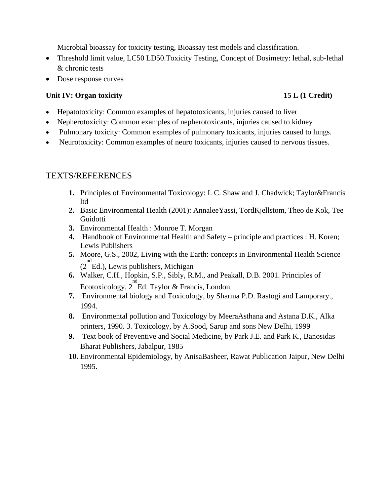Microbial bioassay for toxicity testing, Bioassay test models and classification.

- Threshold limit value, LC50 LD50. Toxicity Testing, Concept of Dosimetry: lethal, sub-lethal & chronic tests
- Dose response curves

### Unit IV: Organ toxicity **15 L (1 Credit) 15 L (1 Credit)**

- Hepatotoxicity: Common examples of hepatotoxicants, injuries caused to liver
- Nepherotoxicity: Common examples of nepherotoxicants, injuries caused to kidney
- Pulmonary toxicity: Common examples of pulmonary toxicants, injuries caused to lungs.
- Neurotoxicity: Common examples of neuro toxicants, injuries caused to nervous tissues.

- **1.** Principles of Environmental Toxicology: I. C. Shaw and J. Chadwick; Taylor&Francis ltd
- **2.** Basic Environmental Health (2001): AnnaleeYassi, TordKjellstom, Theo de Kok, Tee Guidotti
- **3.** Environmental Health : Monroe T. Morgan
- **4.** Handbook of Environmental Health and Safety principle and practices : H. Koren; Lewis Publishers
- **5.** Moore, G.S., 2002, Living with the Earth: concepts in Environmental Health Science <sup>nd</sup> (2 Ed.), Lewis publishers, Michigan
- **6.** Walker, C.H., Hopkin, S.P., Sibly, R.M., and Peakall, D.B. 2001. Principles of Ecotoxicology. 2 nd Ed. Taylor & Francis, London.
- **7.** Environmental biology and Toxicology, by Sharma P.D. Rastogi and Lamporary., 1994.
- **8.** Environmental pollution and Toxicology by MeeraAsthana and Astana D.K., Alka printers, 1990. 3. Toxicology, by A.Sood, Sarup and sons New Delhi, 1999
- **9.** Text book of Preventive and Social Medicine, by Park J.E. and Park K., Banosidas Bharat Publishers, Jabalpur, 1985
- **10.** Environmental Epidemiology, by AnisaBasheer, Rawat Publication Jaipur, New Delhi 1995.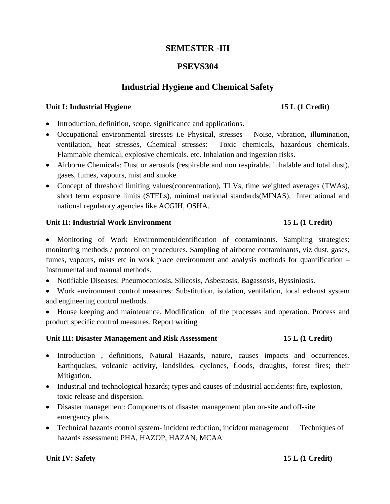## **SEMESTER -III**

### **PSEVS304**

# **Industrial Hygiene and Chemical Safety**

#### Unit I: Industrial Hygiene 15 L (1 Credit)

#### • Introduction, definition, scope, significance and applications.

- Occupational environmental stresses i.e Physical, stresses Noise, vibration, illumination, ventilation, heat stresses, Chemical stresses: Toxic chemicals, hazardous chemicals. Flammable chemical, explosive chemicals. etc. Inhalation and ingestion risks.
- Airborne Chemicals: Dust or aerosols (respirable and non respirable, inhalable and total dust), gases, fumes, vapours, mist and smoke.
- Concept of threshold limiting values (concentration), TLVs, time weighted averages (TWAs), short term exposure limits (STELs), minimal national standards(MINAS), International and national regulatory agencies like ACGIH, OSHA.

#### Unit II: Industrial Work Environment 15 L (1 Credit)

# • Monitoring of Work Environment:Identification of contaminants. Sampling strategies: monitoring methods / protocol on procedures. Sampling of airborne contaminants, viz dust, gases, fumes, vapours, mists etc in work place environment and analysis methods for quantification – Instrumental and manual methods.

- Notifiable Diseases: Pneumoconiosis, Silicosis, Asbestosis, Bagassosis, Byssiniosis.
- Work environment control measures: Substitution, isolation, ventilation, local exhaust system and engineering control methods.
- House keeping and maintenance. Modification of the processes and operation. Process and product specific control measures. Report writing

#### Unit III: Disaster Management and Risk Assessment 15 L (1 Credit)

- Introduction , definitions, Natural Hazards, nature, causes impacts and occurrences. Earthquakes, volcanic activity, landslides, cyclones, floods, draughts, forest fires; their Mitigation.
- Industrial and technological hazards; types and causes of industrial accidents: fire, explosion, toxic release and dispersion.
- Disaster management: Components of disaster management plan on-site and off-site emergency plans.
- Technical hazards control system- incident reduction, incident management Techniques of hazards assessment: PHA, HAZOP, HAZAN, MCAA

#### **Unit IV: Safety 15 L (1 Credit)**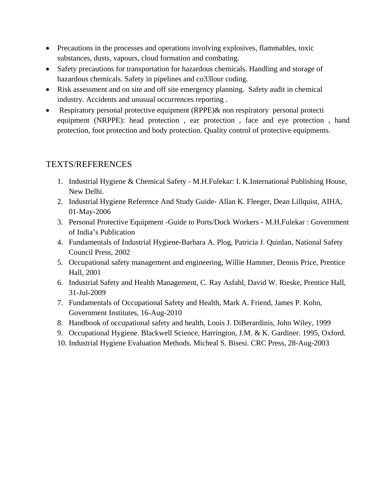- Precautions in the processes and operations involving explosives, flammables, toxic substances, dusts, vapours, cloud formation and combating.
- Safety precautions for transportation for hazardous chemicals. Handling and storage of hazardous chemicals. Safety in pipelines and co33lour coding.
- Risk assessment and on site and off site emergency planning. Safety audit in chemical industry. Accidents and unusual occurrences reporting .
- Respiratory personal protective equipment (RPPE) & non respiratory personal protecti equipment (NRPPE): head protection , ear protection , face and eye protection , hand protection, foot protection and body protection. Quality control of protective equipments.

- 1. Industrial Hygiene & Chemical Safety M.H.Fulekar: I. K.International Publishing House, New Delhi.
- 2. Industrial Hygiene Reference And Study Guide- Allan K. Fleeger, Dean Lillquist, AIHA, 01-May-2006
- 3. Personal Protective Equipment -Guide to Ports/Dock Workers M.H.Fulekar : Government of India's Publication
- 4. Fundamentals of Industrial Hygiene-Barbara A. Plog, Patricia J. Quinlan, National Safety Council Press, 2002
- 5. Occupational safety management and engineering, Willie Hammer, Dennis Price, Prentice Hall, 2001
- 6. Industrial Safety and Health Management, C. Ray Asfahl, David W. Rieske, Prentice Hall, 31-Jul-2009
- 7. Fundamentals of Occupational Safety and Health, Mark A. Friend, James P. Kohn, Government Institutes, 16-Aug-2010
- 8. Handbook of occupational safety and health, Louis J. DiBerardinis, John Wiley, 1999
- 9. Occupational Hygiene. Blackwell Science, Harrington, J.M. & K. Gardiner. 1995, Oxford.
- 10. Industrial Hygiene Evaluation Methods. Micheal S. Bisesi. CRC Press, 28-Aug-2003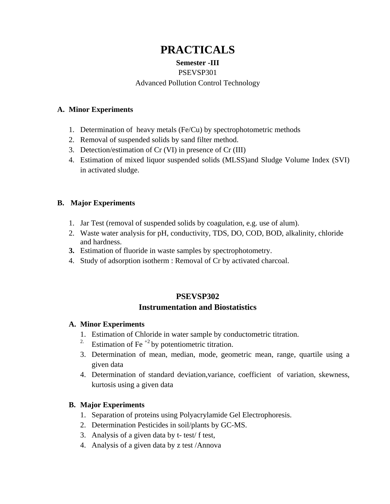# **PRACTICALS**

### **Semester -III**

#### PSEVSP301

### Advanced Pollution Control Technology

#### **A. Minor Experiments**

- 1. Determination of heavy metals (Fe/Cu) by spectrophotometric methods
- 2. Removal of suspended solids by sand filter method.
- 3. Detection/estimation of Cr (VI) in presence of Cr (III)
- 4. Estimation of mixed liquor suspended solids (MLSS)and Sludge Volume Index (SVI) in activated sludge.

### **B. Major Experiments**

- 1. Jar Test (removal of suspended solids by coagulation, e.g. use of alum).
- 2. Waste water analysis for pH, conductivity, TDS, DO, COD, BOD, alkalinity, chloride and hardness.
- **3.** Estimation of fluoride in waste samples by spectrophotometry.
- 4. Study of adsorption isotherm : Removal of Cr by activated charcoal.

# **PSEVSP302 Instrumentation and Biostatistics**

### **A. Minor Experiments**

- 1. Estimation of Chloride in water sample by conductometric titration.
- <sup>2.</sup> Estimation of Fe<sup> $+2$ </sup> by potentiometric titration.
- 3. Determination of mean, median, mode, geometric mean, range, quartile using a given data
- 4. Determination of standard deviation,variance, coefficient of variation, skewness, kurtosis using a given data

# **B. Major Experiments**

- 1. Separation of proteins using Polyacrylamide Gel Electrophoresis.
- 2. Determination Pesticides in soil/plants by GC-MS.
- 3. Analysis of a given data by t- test/ f test,
- 4. Analysis of a given data by z test /Annova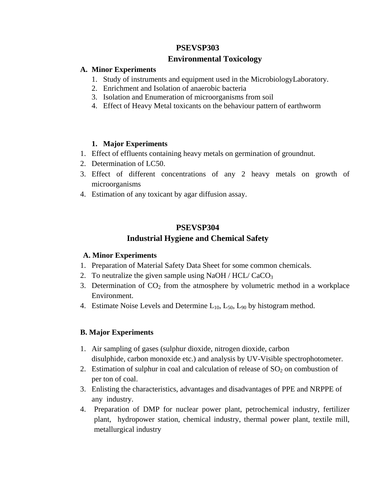## **PSEVSP303**

### **Environmental Toxicology**

#### **A. Minor Experiments**

- 1. Study of instruments and equipment used in the MicrobiologyLaboratory.
- 2. Enrichment and Isolation of anaerobic bacteria
- 3. Isolation and Enumeration of microorganisms from soil
- 4. Effect of Heavy Metal toxicants on the behaviour pattern of earthworm

#### **1. Major Experiments**

- 1. Effect of effluents containing heavy metals on germination of groundnut.
- 2. Determination of LC50.
- 3. Effect of different concentrations of any 2 heavy metals on growth of microorganisms
- 4. Estimation of any toxicant by agar diffusion assay.

## **PSEVSP304 Industrial Hygiene and Chemical Safety**

### **A. Minor Experiments**

- 1. Preparation of Material Safety Data Sheet for some common chemicals.
- 2. To neutralize the given sample using NaOH /  $HCL/CaCO<sub>3</sub>$
- 3. Determination of  $CO<sub>2</sub>$  from the atmosphere by volumetric method in a workplace Environment.
- 4. Estimate Noise Levels and Determine  $L_{10}$ ,  $L_{50}$ ,  $L_{90}$  by histogram method.

### **B. Major Experiments**

- 1. Air sampling of gases (sulphur dioxide, nitrogen dioxide, carbon disulphide, carbon monoxide etc.) and analysis by UV-Visible spectrophotometer.
- 2. Estimation of sulphur in coal and calculation of release of  $SO<sub>2</sub>$  on combustion of per ton of coal.
- 3. Enlisting the characteristics, advantages and disadvantages of PPE and NRPPE of any industry.
- 4. Preparation of DMP for nuclear power plant, petrochemical industry, fertilizer plant, hydropower station, chemical industry, thermal power plant, textile mill, metallurgical industry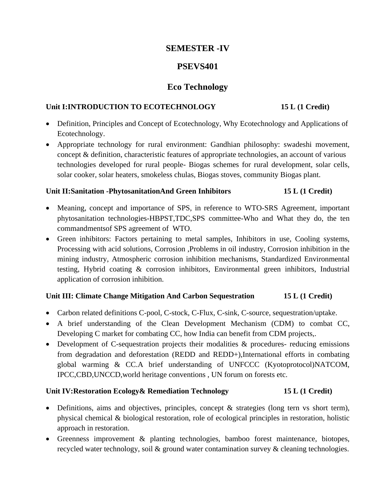# **SEMESTER -IV**

# **PSEVS401**

# **Eco Technology**

#### Unit I:INTRODUCTION TO ECOTECHNOLOGY **15 L** (1 Credit)

- Definition, Principles and Concept of Ecotechnology, Why Ecotechnology and Applications of Ecotechnology.
- Appropriate technology for rural environment: Gandhian philosophy: swadeshi movement, concept & definition, characteristic features of appropriate technologies, an account of various technologies developed for rural people- Biogas schemes for rural development, solar cells, solar cooker, solar heaters, smokeless chulas, Biogas stoves, community Biogas plant.

### **Unit II:Sanitation -PhytosanitationAnd Green Inhibitors 15 L (1 Credit)**

- Meaning, concept and importance of SPS, in reference to WTO-SRS Agreement, important phytosanitation technologies-HBPST,TDC,SPS committee-Who and What they do, the ten commandmentsof SPS agreement of WTO.
- Green inhibitors: Factors pertaining to metal samples, Inhibitors in use, Cooling systems, Processing with acid solutions, Corrosion ,Problems in oil industry, Corrosion inhibition in the mining industry, Atmospheric corrosion inhibition mechanisms, Standardized Environmental testing, Hybrid coating & corrosion inhibitors, Environmental green inhibitors, Industrial application of corrosion inhibition.

### **Unit III: Climate Change Mitigation And Carbon Sequestration 15 L (1 Credit)**

- Carbon related definitions C-pool, C-stock, C-Flux, C-sink, C-source, sequestration/uptake.
- A brief understanding of the Clean Development Mechanism (CDM) to combat CC, Developing C market for combating CC, how India can benefit from CDM projects,.
- Development of C-sequestration projects their modalities & procedures- reducing emissions from degradation and deforestation (REDD and REDD+),International efforts in combating global warming & CC.A brief understanding of UNFCCC (Kyotoprotocol)NATCOM, IPCC,CBD,UNCCD,world heritage conventions , UN forum on forests etc.

### **Unit IV:Restoration Ecology& Remediation Technology 15 L (1 Credit)**

- Definitions, aims and objectives, principles, concept & strategies (long tern vs short term), physical chemical & biological restoration, role of ecological principles in restoration, holistic approach in restoration.
- Greenness improvement & planting technologies, bamboo forest maintenance, biotopes, recycled water technology, soil & ground water contamination survey & cleaning technologies.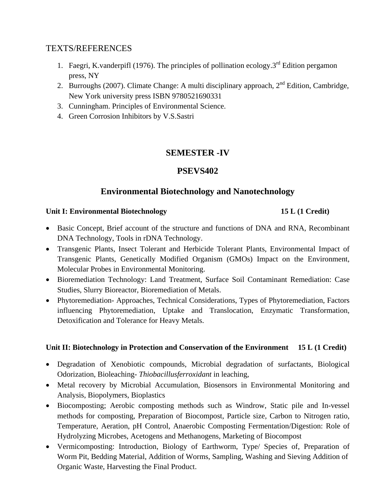# TEXTS/REFERENCES

- 1. Faegri, K.vanderpifl (1976). The principles of pollination ecology. $3<sup>rd</sup>$  Edition pergamon press, NY
- 2. Burroughs (2007). Climate Change: A multi disciplinary approach,  $2<sup>nd</sup>$  Edition, Cambridge, New York university press ISBN 9780521690331
- 3. Cunningham. Principles of Environmental Science.
- 4. Green Corrosion Inhibitors by V.S.Sastri

# **SEMESTER -IV**

# **PSEVS402**

# **Environmental Biotechnology and Nanotechnology**

#### Unit I: Environmental Biotechnology **15 L (1 Credit)**

- Basic Concept, Brief account of the structure and functions of DNA and RNA, Recombinant DNA Technology, Tools in rDNA Technology.
- Transgenic Plants, Insect Tolerant and Herbicide Tolerant Plants, Environmental Impact of Transgenic Plants, Genetically Modified Organism (GMOs) Impact on the Environment, Molecular Probes in Environmental Monitoring.
- Bioremediation Technology: Land Treatment, Surface Soil Contaminant Remediation: Case Studies, Slurry Bioreactor, Bioremediation of Metals.
- Phytoremediation- Approaches, Technical Considerations, Types of Phytoremediation, Factors influencing Phytoremediation, Uptake and Translocation, Enzymatic Transformation, Detoxification and Tolerance for Heavy Metals.

### **Unit II: Biotechnology in Protection and Conservation of the Environment 15 L (1 Credit)**

- Degradation of Xenobiotic compounds, Microbial degradation of surfactants, Biological Odorization, Bioleaching- *Thiobacillusferroxidant* in leaching,
- Metal recovery by Microbial Accumulation, Biosensors in Environmental Monitoring and Analysis, Biopolymers, Bioplastics
- Biocomposting; Aerobic composting methods such as Windrow, Static pile and In-vessel methods for composting, Preparation of Biocompost, Particle size, Carbon to Nitrogen ratio, Temperature, Aeration, pH Control, Anaerobic Composting Fermentation/Digestion: Role of Hydrolyzing Microbes, Acetogens and Methanogens, Marketing of Biocompost
- Vermicomposting: Introduction, Biology of Earthworm, Type/ Species of, Preparation of Worm Pit, Bedding Material, Addition of Worms, Sampling, Washing and Sieving Addition of Organic Waste, Harvesting the Final Product.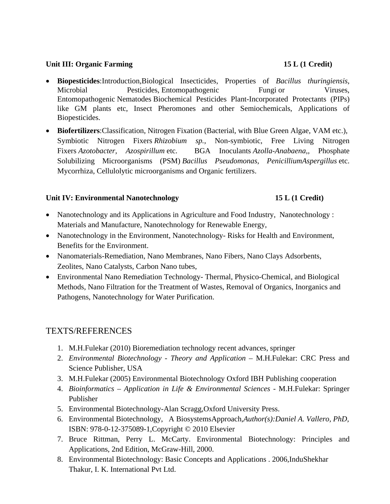#### Unit III: Organic Farming **15 L** (1 Credit)

- **Biopesticides**:Introduction,Biological Insecticides, Properties of *Bacillus thuringiensis*, Microbial Pesticides, Entomopathogenic Fungi or Viruses, Entomopathogenic Nematodes Biochemical Pesticides Plant-Incorporated Protectants (PIPs) like GM plants etc, Insect Pheromones and other Semiochemicals, Applications of Biopesticides.
- **Biofertilizers**:Classification, Nitrogen Fixation (Bacterial, with Blue Green Algae, VAM etc.), Symbiotic Nitrogen Fixers *Rhizobium sp.*, Non-symbiotic, Free Living Nitrogen Fixers *Azotobacter, Azospirillum* etc. BGA Inoculants *Azolla-Anabaena,,* Phosphate Solubilizing Microorganisms (PSM) *Bacillus Pseudomonas, PenicilliumAspergillus* etc. Mycorrhiza, Cellulolytic microorganisms and Organic fertilizers.

#### **Unit IV: Environmental Nanotechnology 15 L (1 Credit)**

- Nanotechnology and its Applications in Agriculture and Food Industry, Nanotechnology : Materials and Manufacture, Nanotechnology for Renewable Energy,
- Nanotechnology in the Environment, Nanotechnology-Risks for Health and Environment, Benefits for the Environment.
- Nanomaterials-Remediation, Nano Membranes, Nano Fibers, Nano Clays Adsorbents, Zeolites, Nano Catalysts, Carbon Nano tubes,
- Environmental Nano Remediation Technology- Thermal, Physico-Chemical, and Biological Methods, Nano Filtration for the Treatment of Wastes, Removal of Organics, Inorganics and Pathogens, Nanotechnology for Water Purification.

- 1. M.H.Fulekar (2010) Bioremediation technology recent advances, springer
- 2. *Environmental Biotechnology Theory and Application M.H.Fulekar: CRC Press and* Science Publisher, USA
- 3. M.H.Fulekar (2005) Environmental Biotechnology Oxford IBH Publishing cooperation
- 4. *Bioinformatics Application in Life & Environmental Sciences*  M.H.Fulekar: Springer Publisher
- 5. Environmental Biotechnology-Alan Scragg,Oxford University Press.
- 6. Environmental Biotechnology, A BiosystemsApproach,*Author(s):Daniel A. Vallero, PhD,*  ISBN: 978-0-12-375089-1,Copyright © 2010 Elsevier
- 7. Bruce Rittman, Perry L. McCarty. Environmental Biotechnology: Principles and Applications, 2nd Edition, McGraw-Hill, 2000.
- 8. Environmental Biotechnology: Basic Concepts and Applications . 2006,InduShekhar Thakur, I. K. International Pvt Ltd.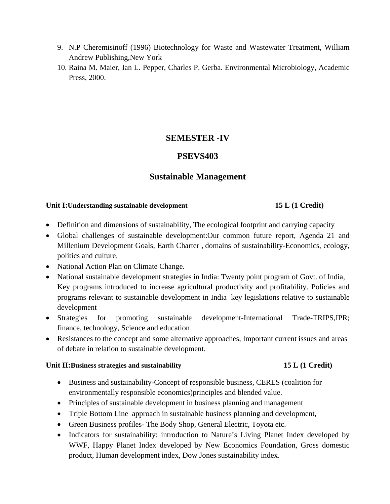- 9. N.P Cheremisinoff (1996) Biotechnology for Waste and Wastewater Treatment, William Andrew Publishing,New York
- 10. Raina M. Maier, Ian L. Pepper, Charles P. Gerba. Environmental Microbiology, Academic Press, 2000.

# **SEMESTER -IV**

# **PSEVS403**

# **Sustainable Management**

#### Unit I:Understanding sustainable development 15 L (1 Credit)

- Definition and dimensions of sustainability, The ecological footprint and carrying capacity
- Global challenges of sustainable development:Our common future report, Agenda 21 and Millenium Development Goals, Earth Charter , domains of sustainability-Economics, ecology, politics and culture.
- National Action Plan on Climate Change.
- National sustainable development strategies in India: Twenty point program of Govt. of India, Key programs introduced to increase agricultural productivity and profitability. Policies and programs relevant to sustainable development in India key legislations relative to sustainable development
- Strategies for promoting sustainable development-International Trade-TRIPS,IPR; finance, technology, Science and education
- Resistances to the concept and some alternative approaches, Important current issues and areas of debate in relation to sustainable development.

#### Unit II:Business strategies and sustainability **15 L (1 Credit) 15 L** (1 Credit)

- Business and sustainability-Concept of responsible business, CERES (coalition for environmentally responsible economics)principles and blended value.
- Principles of sustainable development in business planning and management
- Triple Bottom Line approach in sustainable business planning and development,
- Green Business profiles- The Body Shop, General Electric, Toyota etc.
- Indicators for sustainability: introduction to Nature's Living Planet Index developed by WWF, Happy Planet Index developed by New Economics Foundation, Gross domestic product, Human development index, Dow Jones sustainability index.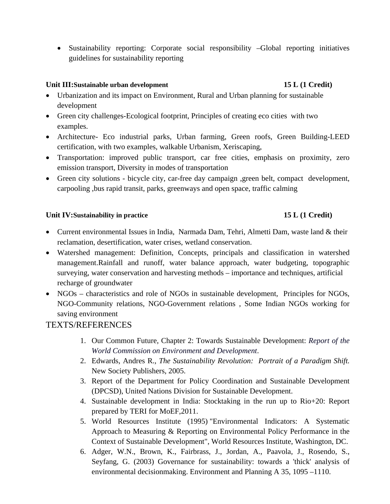• Sustainability reporting: Corporate social responsibility –Global reporting initiatives guidelines for sustainability reporting

### Unit III:Sustainable urban development 15 L (1 Credit)

- Urbanization and its impact on Environment, Rural and Urban planning for sustainable development
- Green city challenges-Ecological footprint, Principles of creating eco cities with two examples.
- Architecture- Eco industrial parks, Urban farming, Green roofs, Green Building-LEED certification, with two examples, walkable Urbanism, Xeriscaping,
- Transportation: improved public transport, car free cities, emphasis on proximity, zero emission transport, Diversity in modes of transportation
- Green city solutions bicycle city, car-free day campaign ,green belt, compact development, carpooling ,bus rapid transit, parks, greenways and open space, traffic calming

#### Unit IV:Sustainability in practice 15 L (1 Credit)

- Current environmental Issues in India, Narmada Dam, Tehri, Almetti Dam, waste land & their reclamation, desertification, water crises, wetland conservation.
- Watershed management: Definition, Concepts, principals and classification in watershed management.Rainfall and runoff, water balance approach, water budgeting, topographic surveying, water conservation and harvesting methods – importance and techniques, artificial recharge of groundwater
- NGOs characteristics and role of NGOs in sustainable development, Principles for NGOs, NGO-Community relations, NGO-Government relations , Some Indian NGOs working for saving environment

- 1. Our Common Future, Chapter 2: Towards Sustainable Development: *Report of the World Commission on Environment and Development*.
- 2. Edwards, Andres R., *The Sustainability Revolution: Portrait of a Paradigm Shift.* New Society Publishers, 2005.
- 3. Report of the Department for Policy Coordination and Sustainable Development (DPCSD), United Nations Division for Sustainable Development.
- 4. Sustainable development in India: Stocktaking in the run up to Rio+20: Report prepared by TERI for MoEF,2011.
- 5. World Resources Institute (1995) "Environmental Indicators: A Systematic Approach to Measuring & Reporting on Environmental Policy Performance in the Context of Sustainable Development", World Resources Institute, Washington, DC.
- 6. Adger, W.N., Brown, K., Fairbrass, J., Jordan, A., Paavola, J., Rosendo, S., Seyfang, G. (2003) Governance for sustainability: towards a 'thick' analysis of environmental decisionmaking. Environment and Planning A 35, 1095 –1110.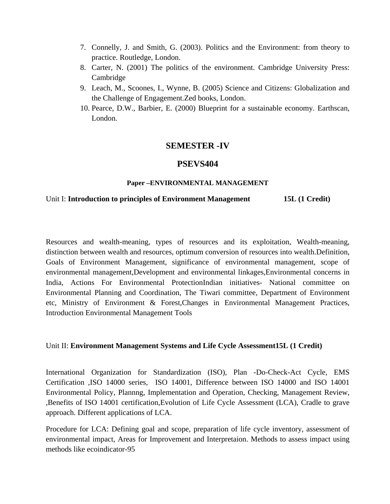- 7. Connelly, J. and Smith, G. (2003). Politics and the Environment: from theory to practice. Routledge, London.
- 8. Carter, N. (2001) The politics of the environment. Cambridge University Press: Cambridge
- 9. Leach, M., Scoones, I., Wynne, B. (2005) Science and Citizens: Globalization and the Challenge of Engagement.Zed books, London.
- 10. Pearce, D.W., Barbier, E. (2000) Blueprint for a sustainable economy. Earthscan, London.

# **SEMESTER -IV**

# **PSEVS404**

#### **Paper –ENVIRONMENTAL MANAGEMENT**

### Unit I: **Introduction to principles of Environment Management** 15L (1 Credit)

Resources and wealth-meaning, types of resources and its exploitation, Wealth-meaning, distinction between wealth and resources, optimum conversion of resources into wealth.Definition, Goals of Environment Management, significance of environmental management, scope of environmental management,Development and environmental linkages,Environmental concerns in India, Actions For Environmental ProtectionIndian initiatives- National committee on Environmental Planning and Coordination, The Tiwari committee, Department of Environment etc, Ministry of Environment & Forest,Changes in Environmental Management Practices, Introduction Environmental Management Tools

### Unit II: **Environment Management Systems and Life Cycle Assessment15L (1 Credit)**

International Organization for Standardization (ISO), Plan -Do-Check-Act Cycle, EMS Certification ,ISO 14000 series, ISO 14001, Difference between ISO 14000 and ISO 14001 Environmental Policy, Plannng, Implementation and Operation, Checking, Management Review, ,Benefits of ISO 14001 certification,Evolution of Life Cycle Assessment (LCA), Cradle to grave approach. Different applications of LCA.

Procedure for LCA: Defining goal and scope, preparation of life cycle inventory, assessment of environmental impact, Areas for Improvement and Interpretaion. Methods to assess impact using methods like ecoindicator-95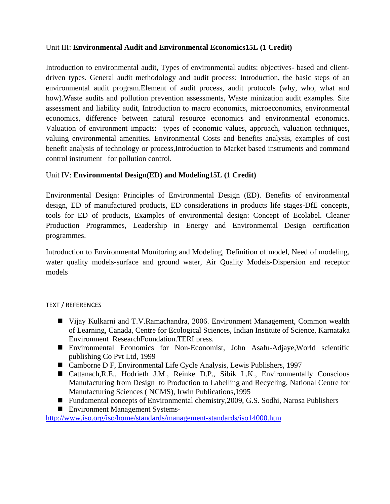### Unit III: **Environmental Audit and Environmental Economics15L (1 Credit)**

Introduction to environmental audit, Types of environmental audits: objectives- based and clientdriven types. General audit methodology and audit process: Introduction, the basic steps of an environmental audit program.Element of audit process, audit protocols (why, who, what and how).Waste audits and pollution prevention assessments, Waste minization audit examples. Site assessment and liability audit, Introduction to macro economics, microeconomics, environmental economics, difference between natural resource economics and environmental economics. Valuation of environment impacts: types of economic values, approach, valuation techniques, valuing environmental amenities. Environmental Costs and benefits analysis, examples of cost benefit analysis of technology or process,Introduction to Market based instruments and command control instrument for pollution control.

### Unit IV: **Environmental Design(ED) and Modeling15L (1 Credit)**

Environmental Design: Principles of Environmental Design (ED). Benefits of environmental design, ED of manufactured products, ED considerations in products life stages-DfE concepts, tools for ED of products, Examples of environmental design: Concept of Ecolabel. Cleaner Production Programmes, Leadership in Energy and Environmental Design certification programmes.

Introduction to Environmental Monitoring and Modeling, Definition of model, Need of modeling, water quality models-surface and ground water, Air Quality Models-Dispersion and receptor models

### TEXT / REFERENCES

- Vijay Kulkarni and T.V.Ramachandra, 2006. Environment Management, Common wealth of Learning, Canada, Centre for Ecological Sciences, Indian Institute of Science, Karnataka Environment ResearchFoundation.TERI press.
- Environmental Economics for Non-Economist, John Asafu-Adjaye,World scientific publishing Co Pvt Ltd, 1999
- Camborne D F, Environmental Life Cycle Analysis, Lewis Publishers, 1997
- Cattanach, R.E., Hodrieth J.M., Reinke D.P., Sibik L.K., Environmentally Conscious Manufacturing from Design to Production to Labelling and Recycling, National Centre for Manufacturing Sciences ( NCMS), Irwin Publications,1995
- Fundamental concepts of Environmental chemistry, 2009, G.S. Sodhi, Narosa Publishers
- Environment Management Systems-

http://www.iso.org/iso/home/standards/management-standards/iso14000.htm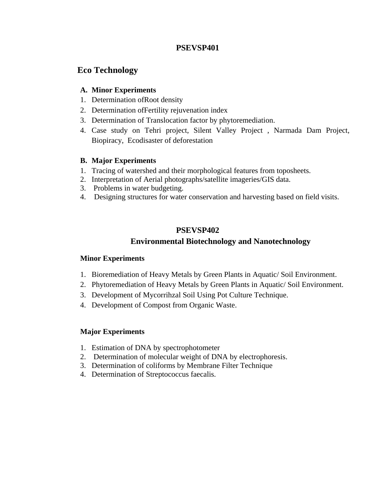### **PSEVSP401**

# **Eco Technology**

#### **A. Minor Experiments**

- 1. Determination ofRoot density
- 2. Determination ofFertility rejuvenation index
- 3. Determination of Translocation factor by phytoremediation.
- 4. Case study on Tehri project, Silent Valley Project , Narmada Dam Project, Biopiracy, Ecodisaster of deforestation

### **B. Major Experiments**

- 1. Tracing of watershed and their morphological features from toposheets.
- 2. Interpretation of Aerial photographs/satellite imageries/GIS data.
- 3. Problems in water budgeting.
- 4. Designing structures for water conservation and harvesting based on field visits.

### **PSEVSP402**

# **Environmental Biotechnology and Nanotechnology**

### **Minor Experiments**

- 1. Bioremediation of Heavy Metals by Green Plants in Aquatic/ Soil Environment.
- 2. Phytoremediation of Heavy Metals by Green Plants in Aquatic/ Soil Environment.
- 3. Development of Mycorrihzal Soil Using Pot Culture Technique.
- 4. Development of Compost from Organic Waste.

### **Major Experiments**

- 1. Estimation of DNA by spectrophotometer
- 2. Determination of molecular weight of DNA by electrophoresis.
- 3. Determination of coliforms by Membrane Filter Technique
- 4. Determination of Streptococcus faecalis.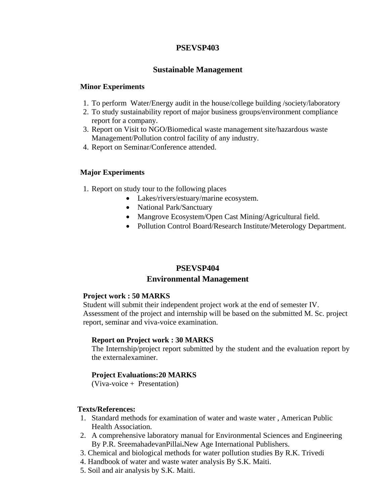### **PSEVSP403**

#### **Sustainable Management**

#### **Minor Experiments**

- 1. To perform Water/Energy audit in the house/college building /society/laboratory
- 2. To study sustainability report of major business groups/environment compliance report for a company.
- 3. Report on Visit to NGO/Biomedical waste management site/hazardous waste Management/Pollution control facility of any industry.
- 4. Report on Seminar/Conference attended.

#### **Major Experiments**

- 1. Report on study tour to the following places
	- Lakes/rivers/estuary/marine ecosystem.
	- National Park/Sanctuary
	- Mangrove Ecosystem/Open Cast Mining/Agricultural field.
	- Pollution Control Board/Research Institute/Meterology Department.

#### **PSEVSP404**

#### **Environmental Management**

#### **Project work : 50 MARKS**

Student will submit their independent project work at the end of semester IV. Assessment of the project and internship will be based on the submitted M. Sc. project report, seminar and viva-voice examination.

#### **Report on Project work : 30 MARKS**

The Internship/project report submitted by the student and the evaluation report by the externalexaminer.

#### **Project Evaluations:20 MARKS**

(Viva-voice + Presentation)

#### **Texts/References:**

- 1. Standard methods for examination of water and waste water , American Public Health Association.
- 2. A comprehensive laboratory manual for Environmental Sciences and Engineering By P.R. SreemahadevanPillai**.**New Age International Publishers.
- 3. Chemical and biological methods for water pollution studies By R.K. Trivedi
- 4. Handbook of water and waste water analysis By S.K. Maiti.
- 5. Soil and air analysis by S.K. Maiti.